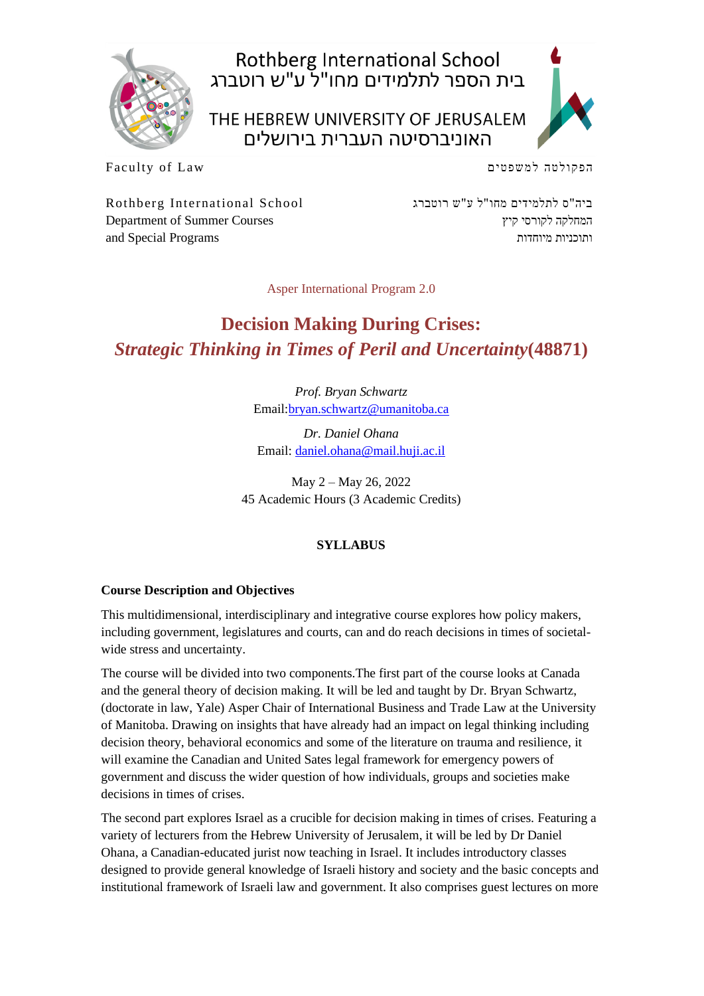

Rothberg International School<br>בית הספר לתלמידים מחו"ל ע"ש רוטברג

THE HEBREW UNIVERSITY OF JERUSALEM האוניברסיטה העברית בירושלים



Faculty of Law

הפקולטה למשפטים

Rothberg International School Department of Summer Courses and Special Programs

ביה"ס לתלמידים מחו"ל ע"ש רוטברג המחלקה לקורסי קיץ ותוכניות מיוחדות

Asper International Program 2.0

# **Decision Making During Crises:** *Strategic Thinking in Times of Peril and Uncertainty***(48871)**

*Prof. Bryan Schwartz* Email[:bryan.schwartz@umanitoba.ca](mailto:bryan.schwartz@umanitoba.ca)

*Dr. Daniel Ohana* Email: [daniel.ohana@mail.huji.ac.il](mailto:daniel.ohana@mail.huji.ac.il)

May 2 – May 26, 2022 45 Academic Hours (3 Academic Credits)

## **SYLLABUS**

#### **Course Description and Objectives**

This multidimensional, interdisciplinary and integrative course explores how policy makers, including government, legislatures and courts, can and do reach decisions in times of societalwide stress and uncertainty.

The course will be divided into two components.The first part of the course looks at Canada and the general theory of decision making. It will be led and taught by Dr. Bryan Schwartz, (doctorate in law, Yale) Asper Chair of International Business and Trade Law at the University of Manitoba. Drawing on insights that have already had an impact on legal thinking including decision theory, behavioral economics and some of the literature on trauma and resilience, it will examine the Canadian and United Sates legal framework for emergency powers of government and discuss the wider question of how individuals, groups and societies make decisions in times of crises.

The second part explores Israel as a crucible for decision making in times of crises. Featuring a variety of lecturers from the Hebrew University of Jerusalem, it will be led by Dr Daniel Ohana, a Canadian-educated jurist now teaching in Israel. It includes introductory classes designed to provide general knowledge of Israeli history and society and the basic concepts and institutional framework of Israeli law and government. It also comprises guest lectures on more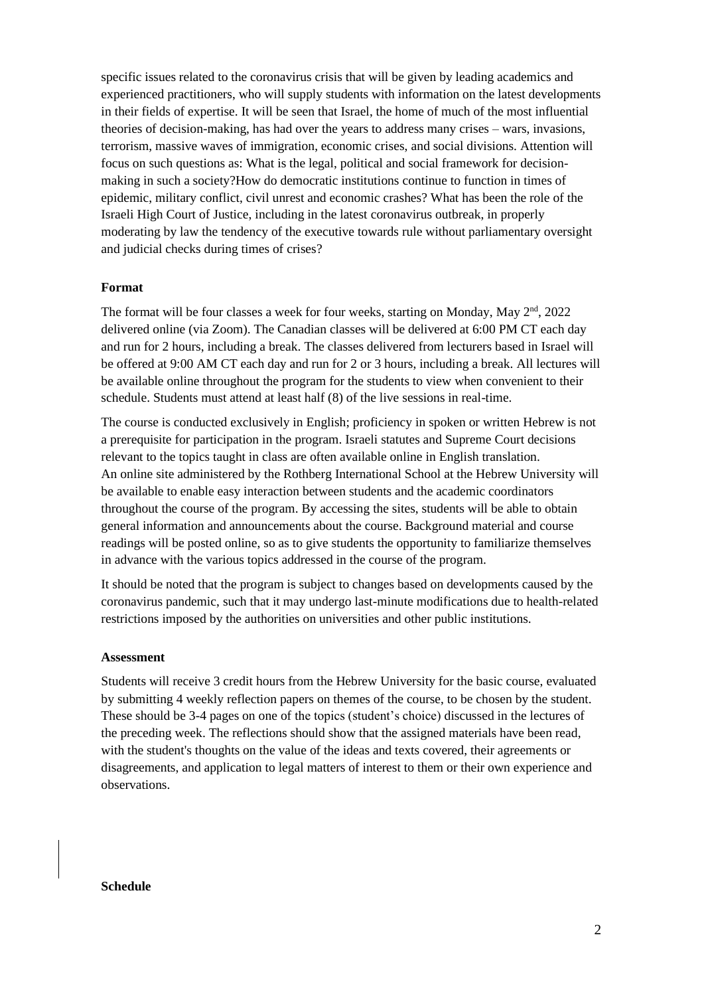specific issues related to the coronavirus crisis that will be given by leading academics and experienced practitioners, who will supply students with information on the latest developments in their fields of expertise. It will be seen that Israel, the home of much of the most influential theories of decision-making, has had over the years to address many crises – wars, invasions, terrorism, massive waves of immigration, economic crises, and social divisions. Attention will focus on such questions as: What is the legal, political and social framework for decisionmaking in such a society?How do democratic institutions continue to function in times of epidemic, military conflict, civil unrest and economic crashes? What has been the role of the Israeli High Court of Justice, including in the latest coronavirus outbreak, in properly moderating by law the tendency of the executive towards rule without parliamentary oversight and judicial checks during times of crises?

#### **Format**

The format will be four classes a week for four weeks, starting on Monday, May 2<sup>nd</sup>, 2022 delivered online (via Zoom). The Canadian classes will be delivered at 6:00 PM CT each day and run for 2 hours, including a break. The classes delivered from lecturers based in Israel will be offered at 9:00 AM CT each day and run for 2 or 3 hours, including a break. All lectures will be available online throughout the program for the students to view when convenient to their schedule. Students must attend at least half (8) of the live sessions in real-time.

The course is conducted exclusively in English; proficiency in spoken or written Hebrew is not a prerequisite for participation in the program. Israeli statutes and Supreme Court decisions relevant to the topics taught in class are often available online in English translation. An online site administered by the Rothberg International School at the Hebrew University will be available to enable easy interaction between students and the academic coordinators throughout the course of the program. By accessing the sites, students will be able to obtain general information and announcements about the course. Background material and course readings will be posted online, so as to give students the opportunity to familiarize themselves in advance with the various topics addressed in the course of the program.

It should be noted that the program is subject to changes based on developments caused by the coronavirus pandemic, such that it may undergo last-minute modifications due to health-related restrictions imposed by the authorities on universities and other public institutions.

#### **Assessment**

Students will receive 3 credit hours from the Hebrew University for the basic course, evaluated by submitting 4 weekly reflection papers on themes of the course, to be chosen by the student. These should be 3-4 pages on one of the topics (student's choice) discussed in the lectures of the preceding week. The reflections should show that the assigned materials have been read, with the student's thoughts on the value of the ideas and texts covered, their agreements or disagreements, and application to legal matters of interest to them or their own experience and observations.

#### **Schedule**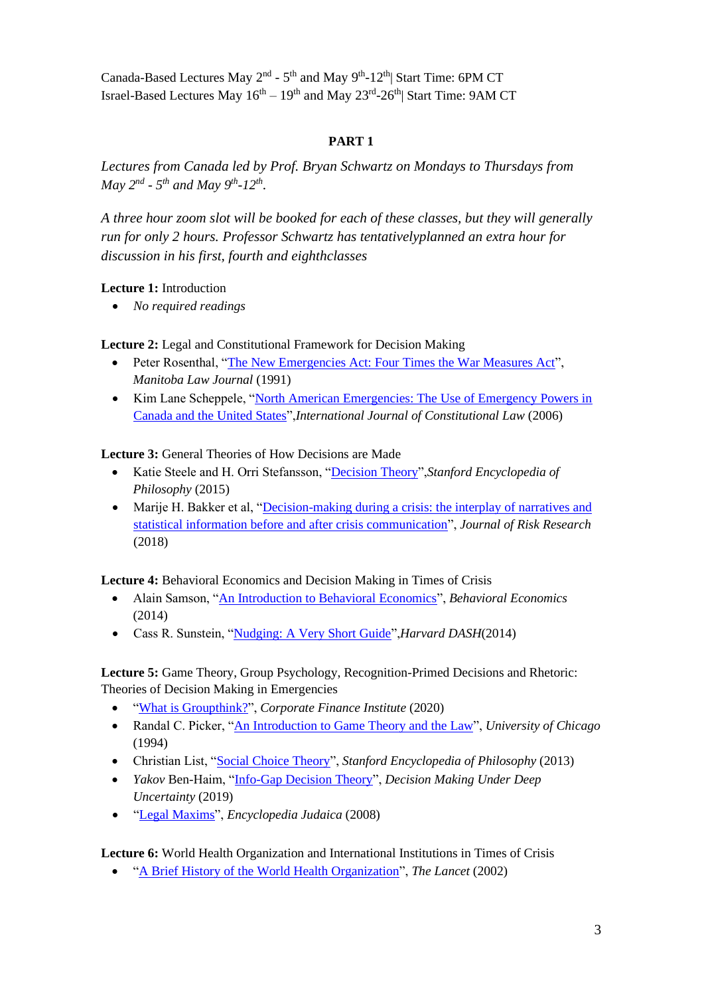Canada-Based Lectures May 2<sup>nd</sup> - 5<sup>th</sup> and May 9<sup>th</sup>-12<sup>th</sup>| Start Time: 6PM CT Israel-Based Lectures May  $16^{\text{th}} - 19^{\text{th}}$  and May  $23^{\text{rd}}$ -26<sup>th</sup>| Start Time: 9AM CT

#### **PART 1**

*Lectures from Canada led by Prof. Bryan Schwartz on Mondays to Thursdays from May*  $2^{nd}$  -  $5^{th}$  *and May*  $9^{th}$ -12<sup>th</sup>.

*A three hour zoom slot will be booked for each of these classes, but they will generally run for only 2 hours. Professor Schwartz has tentativelyplanned an extra hour for discussion in his first, fourth and eighthclasses*

#### **Lecture 1:** Introduction

• *No required readings*

**Lecture 2:** Legal and Constitutional Framework for Decision Making

- Peter Rosenthal, ["The New Emergencies Act: Four Times the War Measures Act"](https://commentary.canlii.org/w/canlii/1991CanLIIDocs129), *Manitoba Law Journal* (1991)
- Kim Lane Scheppele, ["North American Emergencies: The Use of Emergency Powers in](https://watermark.silverchair.com/mol003.pdf?token=AQECAHi208BE49Ooan9kkhW_Ercy7Dm3ZL_9Cf3qfKAc485ysgAAAowwggKIBgkqhkiG9w0BBwagggJ5MIICdQIBADCCAm4GCSqGSIb3DQEHATAeBglghkgBZQMEAS4wEQQMNOsbPOOUZWXYm0HuAgEQgIICP9fb2h3UAgTHxvFKTaxl_nB2Q5yWZDNZlZCn3OQn)  [Canada and the United States"](https://watermark.silverchair.com/mol003.pdf?token=AQECAHi208BE49Ooan9kkhW_Ercy7Dm3ZL_9Cf3qfKAc485ysgAAAowwggKIBgkqhkiG9w0BBwagggJ5MIICdQIBADCCAm4GCSqGSIb3DQEHATAeBglghkgBZQMEAS4wEQQMNOsbPOOUZWXYm0HuAgEQgIICP9fb2h3UAgTHxvFKTaxl_nB2Q5yWZDNZlZCn3OQn),*International Journal of Constitutional Law* (2006)

**Lecture 3:** General Theories of How Decisions are Made

- Katie Steele and H. Orri Stefansson, ["Decision Theory"](https://plato.stanford.edu/entries/decision-theory/),*Stanford Encyclopedia of Philosophy* (2015)
- Marije H. Bakker et al, "Decision-making during a crisis: the interplay of narratives and [statistical information before and after crisis communication"](https://www.tandfonline.com/doi/full/10.1080/13669877.2018.1473464?scroll=top&needAccess=true), *Journal of Risk Research* (2018)

**Lecture 4:** Behavioral Economics and Decision Making in Times of Crisis

- Alain Samson, ["An Introduction to Behavioral Economics"](https://www.behavioraleconomics.com/resources/introduction-behavioral-economics/), *Behavioral Economics*  (2014)
- Cass R. Sunstein, ["Nudging: A Very Short Guide"](https://dash.harvard.edu/bitstream/handle/1/16205305/shortguide9_22.pdf?sequence=4&bcgovtm=CSMLS),*Harvard DASH*(2014)

## **Lecture 5:** Game Theory, Group Psychology, Recognition-Primed Decisions and Rhetoric: Theories of Decision Making in Emergencies

- ["What is Groupthink?"](https://corporatefinanceinstitute.com/resources/careers/soft-skills/groupthink-decisions/), *Corporate Finance Institute* (2020)
- Randal C. Picker, ["An Introduction to Game Theory and the Law"](https://pdfs.semanticscholar.org/9f1e/b2601d4570254657ac64a58beb421dd03eff.pdf), *University of Chicago* (1994)
- Christian List, ["Social Choice Theory"](https://plato.stanford.edu/entries/social-choice/), *Stanford Encyclopedia of Philosophy* (2013)
- *Yakov* Ben-Haim, ["Info-Gap Decision Theory"](https://link.springer.com/chapter/10.1007/978-3-030-05252-2_5), *Decision Making Under Deep Uncertainty* (2019)
- ["Legal Maxims"](https://www.jewishvirtuallibrary.org/legal-maxims), *Encyclopedia Judaica* (2008)

**Lecture 6:** World Health Organization and International Institutions in Times of Crisis

• ["A Brief History of the World Health Organization"](https://www.thelancet.com/action/showPdf?pii=S0140-6736%2802%2911244-X), *The Lancet* (2002)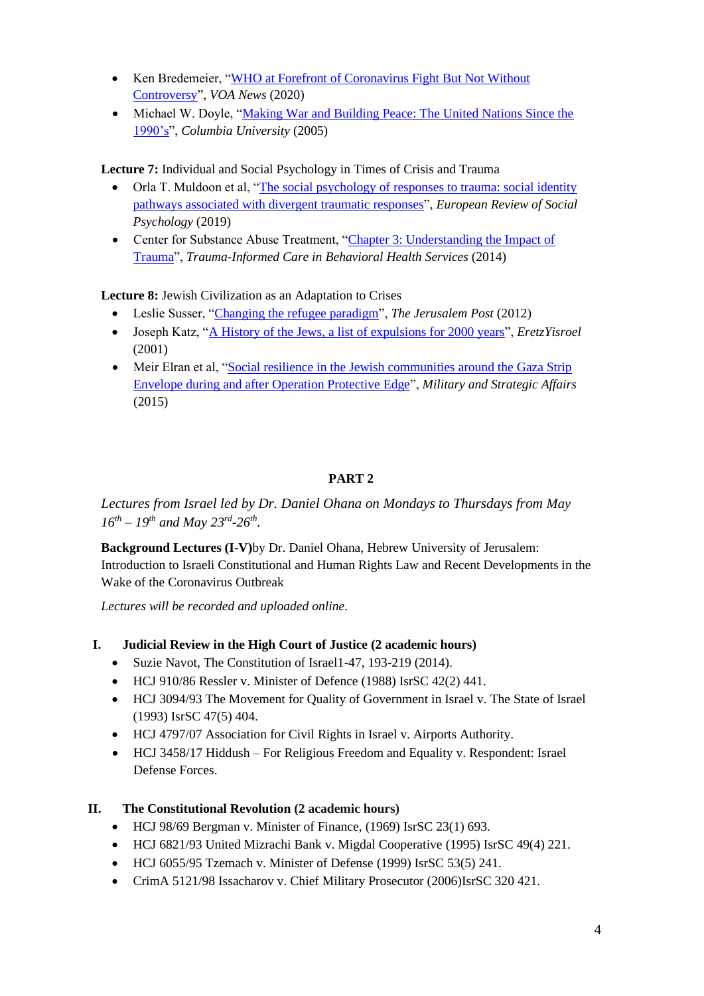- Ken Bredemeier, ["WHO at Forefront of Coronavirus Fight But Not Without](https://www.voanews.com/covid-19-pandemic/who-forefront-coronavirus-fight-not-without-controversy)  [Controversy"](https://www.voanews.com/covid-19-pandemic/who-forefront-coronavirus-fight-not-without-controversy), *VOA News* (2020)
- Michael W. Doyle, "Making War and Building Peace: The United Nations Since the [1990's"](http://cgt.columbia.edu/wp-content/uploads/2014/01/Making-War-and-Building-Peace.pdf), *Columbia University* (2005)

**Lecture 7:** Individual and Social Psychology in Times of Crisis and Trauma

- Orla T. Muldoon et al, ["The social psychology of responses to trauma: social identity](https://www.tandfonline.com/doi/full/10.1080/10463283.2020.1711628)  [pathways associated with divergent traumatic responses"](https://www.tandfonline.com/doi/full/10.1080/10463283.2020.1711628), *European Review of Social Psychology* (2019)
- Center for Substance Abuse Treatment, "Chapter 3: Understanding the Impact of [Trauma"](https://www.ncbi.nlm.nih.gov/books/NBK207191/), *Trauma-Informed Care in Behavioral Health Services* (2014)

**Lecture 8:** Jewish Civilization as an Adaptation to Crises

- Leslie Susser, ["Changing the refugee paradigm"](https://www.jpost.com/Jerusalem-Report/Israel/Changing-the-refugee-paradigm), *The Jerusalem Post* (2012)
- Joseph Katz, ["A History of the Jews, a list of expulsions for 2000 years"](http://www.eretzyisroel.org/~jkatz/expulsions.html), *EretzYisroel* (2001)
- Meir Elran et al, "Social resilience in the Jewish communities around the Gaza Strip [Envelope during and after Operation Protective Edge"](https://www.hks.harvard.edu/sites/default/files/centers/research-initiatives/crisisleadership/files/MASA7-2Eng%2BFinal_Elran%2Bet%2Bal077055622.pdf), *Military and Strategic Affairs*  (2015)

# **PART 2**

*Lectures from Israel led by Dr. Daniel Ohana on Mondays to Thursdays from May*   $16^{th} - 19^{th}$  and May  $23^{rd} - 26^{th}$ .

**Background Lectures (I-V)**by Dr. Daniel Ohana, Hebrew University of Jerusalem: Introduction to Israeli Constitutional and Human Rights Law and Recent Developments in the Wake of the Coronavirus Outbreak

*Lectures will be recorded and uploaded online.*

- **I. Judicial Review in the High Court of Justice (2 academic hours)** 
	- Suzie Navot, The Constitution of Israel 1-47, 193-219 (2014).
	- HCJ 910/86 Ressler v. Minister of Defence (1988) IsrSC 42(2) 441.
	- HCJ 3094/93 The Movement for Quality of Government in Israel v. The State of Israel (1993) IsrSC 47(5) 404.
	- HCJ 4797/07 Association for Civil Rights in Israel v. Airports Authority.
	- HCJ 3458/17 Hiddush For Religious Freedom and Equality v. Respondent: Israel Defense Forces.

## **II. The Constitutional Revolution (2 academic hours)**

- HCJ 98/69 Bergman v. Minister of Finance, (1969) IsrSC 23(1) 693.
- HCJ 6821/93 United Mizrachi Bank v. Migdal Cooperative (1995) IsrSC 49(4) 221.
- HCJ 6055/95 Tzemach v. Minister of Defense (1999) IsrSC 53(5) 241.
- CrimA 5121/98 Issacharov v. Chief Military Prosecutor (2006)IsrSC 320 421.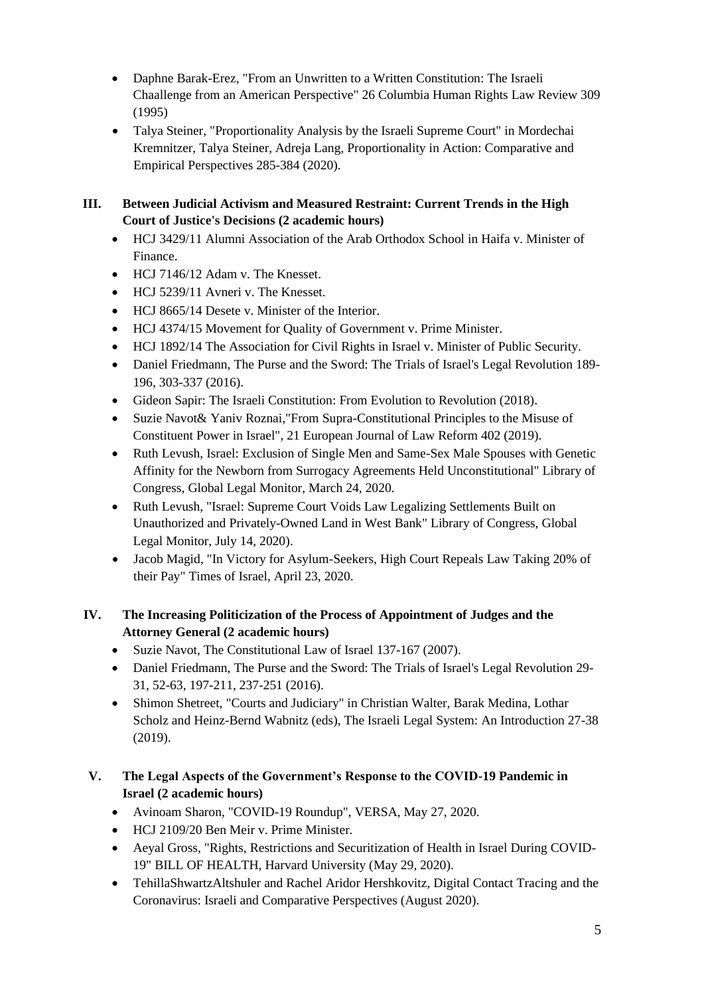- Daphne Barak-Erez, "From an Unwritten to a Written Constitution: The Israeli Chaallenge from an American Perspective" 26 Columbia Human Rights Law Review 309 (1995)
- Talya Steiner, "Proportionality Analysis by the Israeli Supreme Court" in Mordechai Kremnitzer, Talya Steiner, Adreja Lang, Proportionality in Action: Comparative and Empirical Perspectives 285-384 (2020).

# **III. Between Judicial Activism and Measured Restraint: Current Trends in the High Court of Justice's Decisions (2 academic hours)**

- HCJ 3429/11 Alumni Association of the Arab Orthodox School in Haifa v. Minister of Finance.
- HCJ 7146/12 Adam v. The Knesset.
- HCJ 5239/11 Avneri v. The Knesset.
- HCJ 8665/14 Desete v. Minister of the Interior.
- HCJ 4374/15 Movement for Quality of Government v. Prime Minister.
- HCJ 1892/14 The Association for Civil Rights in Israel v. Minister of Public Security.
- Daniel Friedmann, The Purse and the Sword: The Trials of Israel's Legal Revolution 189- 196, 303-337 (2016).
- Gideon Sapir: The Israeli Constitution: From Evolution to Revolution (2018).
- Suzie Navot& Yaniv Roznai,"From Supra-Constitutional Principles to the Misuse of Constituent Power in Israel", 21 European Journal of Law Reform 402 (2019).
- Ruth Levush, Israel: Exclusion of Single Men and Same-Sex Male Spouses with Genetic Affinity for the Newborn from Surrogacy Agreements Held Unconstitutional" Library of Congress, Global Legal Monitor, March 24, 2020.
- Ruth Levush, "Israel: Supreme Court Voids Law Legalizing Settlements Built on Unauthorized and Privately-Owned Land in West Bank" Library of Congress, Global Legal Monitor, July 14, 2020).
- Jacob Magid, "In Victory for Asylum-Seekers, High Court Repeals Law Taking 20% of their Pay" Times of Israel, April 23, 2020.

# **IV. The Increasing Politicization of the Process of Appointment of Judges and the Attorney General (2 academic hours)**

- Suzie Navot, The Constitutional Law of Israel 137-167 (2007).
- Daniel Friedmann, The Purse and the Sword: The Trials of Israel's Legal Revolution 29- 31, 52-63, 197-211, 237-251 (2016).
- Shimon Shetreet, "Courts and Judiciary" in Christian Walter, Barak Medina, Lothar Scholz and Heinz-Bernd Wabnitz (eds), The Israeli Legal System: An Introduction 27-38 (2019).

# **V. The Legal Aspects of the Government's Response to the COVID-19 Pandemic in Israel (2 academic hours)**

- Avinoam Sharon, "COVID-19 Roundup", VERSA, May 27, 2020.
- HCJ 2109/20 Ben Meir v. Prime Minister.
- Aeyal Gross, "Rights, Restrictions and Securitization of Health in Israel During COVID-19" BILL OF HEALTH, Harvard University [\(May 29, 2020\)](https://blog.petrieflom.law.harvard.edu/2020/05/29/israel-global-responses-covid19/).
- TehillaShwartzAltshuler and Rachel Aridor Hershkovitz, Digital Contact Tracing and the Coronavirus: Israeli and Comparative Perspectives (August 2020).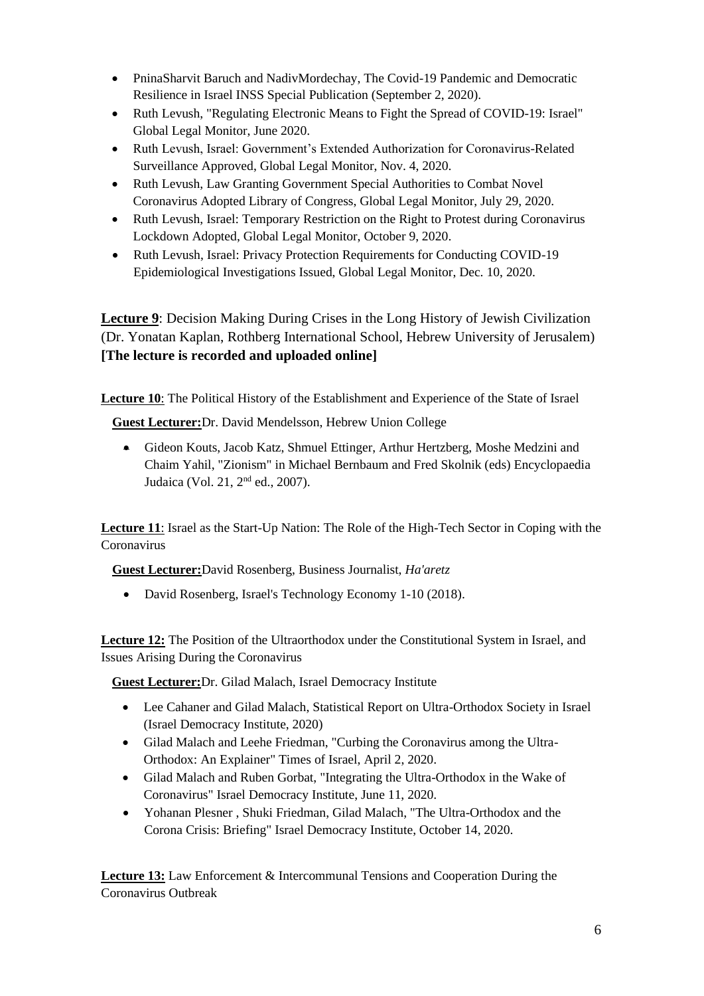- PninaSharvit Baruch and NadivMordechay, The Covid-19 Pandemic and Democratic Resilience in Israel INSS Special Publication (September 2, 2020).
- Ruth Levush, "Regulating Electronic Means to Fight the Spread of COVID-19: Israel" Global Legal Monitor, June 2020.
- Ruth Levush, Israel: Government's Extended Authorization for Coronavirus-Related Surveillance Approved, Global Legal Monitor, Nov. 4, 2020.
- Ruth Levush, Law Granting Government Special Authorities to Combat Novel Coronavirus Adopted Library of Congress, Global Legal Monitor, July 29, 2020.
- Ruth Levush, Israel: Temporary Restriction on the Right to Protest during Coronavirus Lockdown Adopted, Global Legal Monitor, October 9, 2020.
- Ruth Levush, Israel: Privacy Protection Requirements for Conducting COVID-19 Epidemiological Investigations Issued, Global Legal Monitor, Dec. 10, 2020.

**Lecture 9**: Decision Making During Crises in the Long History of Jewish Civilization (Dr. Yonatan Kaplan, Rothberg International School, Hebrew University of Jerusalem) **[The lecture is recorded and uploaded online]**

**Lecture 10**: The Political History of the Establishment and Experience of the State of Israel

**Guest Lecturer:**Dr. David Mendelsson, Hebrew Union College

• Gideon Kouts, Jacob Katz, Shmuel Ettinger, Arthur Hertzberg, Moshe Medzini and Chaim Yahil, "Zionism" in Michael Bernbaum and Fred Skolnik (eds) Encyclopaedia Judaica (Vol. 21, 2nd ed., 2007).

**Lecture 11**: Israel as the Start-Up Nation: The Role of the High-Tech Sector in Coping with the Coronavirus

**Guest Lecturer:**David Rosenberg, Business Journalist, *Ha'aretz*

• David Rosenberg, Israel's Technology Economy 1-10 (2018).

**Lecture 12:** The Position of the Ultraorthodox under the Constitutional System in Israel, and Issues Arising During the Coronavirus

**Guest Lecturer:**Dr. Gilad Malach, Israel Democracy Institute

- Lee Cahaner and Gilad Malach, Statistical Report on Ultra-Orthodox Society in Israel (Israel Democracy Institute, 2020)
- Gilad Malach and Leehe Friedman, "Curbing the Coronavirus among the Ultra-Orthodox: An Explainer" Times of Israel, April 2, 2020.
- Gilad Malach and Ruben Gorbat, "Integrating the Ultra-Orthodox in the Wake of Coronavirus" Israel Democracy Institute, June 11, 2020.
- [Yohanan Plesner ,](https://en.idi.org.il/experts/1305) [Shuki Friedman,](https://en.idi.org.il/experts/1362) [Gilad Malach,](https://en.idi.org.il/experts/1451) "The Ultra-Orthodox and the Corona Crisis: Briefing" Israel Democracy Institute, October 14, 2020.

**Lecture 13:** Law Enforcement & Intercommunal Tensions and Cooperation During the Coronavirus Outbreak